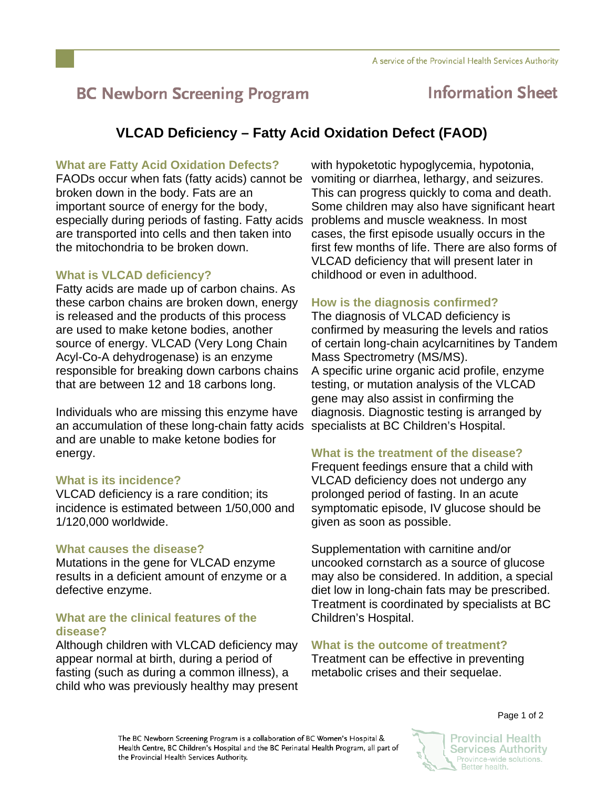# **BC Newborn Screening Program**

## **Information Sheet**

### **VLCAD Deficiency – Fatty Acid Oxidation Defect (FAOD)**

#### **What are Fatty Acid Oxidation Defects?**

FAODs occur when fats (fatty acids) cannot be broken down in the body. Fats are an important source of energy for the body, especially during periods of fasting. Fatty acids are transported into cells and then taken into the mitochondria to be broken down.

#### **What is VLCAD deficiency?**

Fatty acids are made up of carbon chains. As these carbon chains are broken down, energy is released and the products of this process are used to make ketone bodies, another source of energy. VLCAD (Very Long Chain Acyl-Co-A dehydrogenase) is an enzyme responsible for breaking down carbons chains that are between 12 and 18 carbons long.

Individuals who are missing this enzyme have an accumulation of these long-chain fatty acids and are unable to make ketone bodies for energy.

#### **What is its incidence?**

VLCAD deficiency is a rare condition; its incidence is estimated between 1/50,000 and 1/120,000 worldwide.

#### **What causes the disease?**

Mutations in the gene for VLCAD enzyme results in a deficient amount of enzyme or a defective enzyme.

#### **What are the clinical features of the disease?**

Although children with VLCAD deficiency may appear normal at birth, during a period of fasting (such as during a common illness), a child who was previously healthy may present with hypoketotic hypoglycemia, hypotonia, vomiting or diarrhea, lethargy, and seizures. This can progress quickly to coma and death. Some children may also have significant heart problems and muscle weakness. In most cases, the first episode usually occurs in the first few months of life. There are also forms of VLCAD deficiency that will present later in childhood or even in adulthood.

### **How is the diagnosis confirmed?**

The diagnosis of VLCAD deficiency is confirmed by measuring the levels and ratios of certain long-chain acylcarnitines by Tandem Mass Spectrometry (MS/MS). A specific urine organic acid profile, enzyme testing, or mutation analysis of the VLCAD gene may also assist in confirming the diagnosis. Diagnostic testing is arranged by specialists at BC Children's Hospital.

#### **What is the treatment of the disease?**

Frequent feedings ensure that a child with VLCAD deficiency does not undergo any prolonged period of fasting. In an acute symptomatic episode, IV glucose should be given as soon as possible.

Supplementation with carnitine and/or uncooked cornstarch as a source of glucose may also be considered. In addition, a special diet low in long-chain fats may be prescribed. Treatment is coordinated by specialists at BC Children's Hospital.

#### **What is the outcome of treatment?**

Treatment can be effective in preventing metabolic crises and their sequelae.

The BC Newborn Screening Program is a collaboration of BC Women's Hospital & Health Centre, BC Children's Hospital and the BC Perinatal Health Program, all part of the Provincial Health Services Authority.

Page 1 of 2